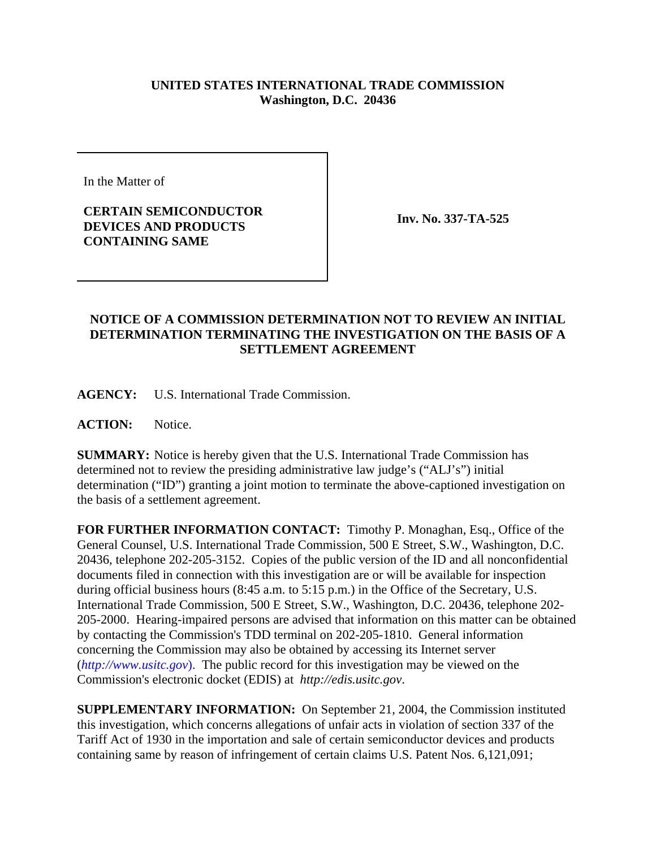## **UNITED STATES INTERNATIONAL TRADE COMMISSION Washington, D.C. 20436**

In the Matter of

**CERTAIN SEMICONDUCTOR DEVICES AND PRODUCTS CONTAINING SAME**

**Inv. No. 337-TA-525**

## **NOTICE OF A COMMISSION DETERMINATION NOT TO REVIEW AN INITIAL DETERMINATION TERMINATING THE INVESTIGATION ON THE BASIS OF A SETTLEMENT AGREEMENT**

**AGENCY:** U.S. International Trade Commission.

**ACTION:** Notice.

**SUMMARY:** Notice is hereby given that the U.S. International Trade Commission has determined not to review the presiding administrative law judge's ("ALJ's") initial determination ("ID") granting a joint motion to terminate the above-captioned investigation on the basis of a settlement agreement.

**FOR FURTHER INFORMATION CONTACT:** Timothy P. Monaghan, Esq., Office of the General Counsel, U.S. International Trade Commission, 500 E Street, S.W., Washington, D.C. 20436, telephone 202-205-3152. Copies of the public version of the ID and all nonconfidential documents filed in connection with this investigation are or will be available for inspection during official business hours (8:45 a.m. to 5:15 p.m.) in the Office of the Secretary, U.S. International Trade Commission, 500 E Street, S.W., Washington, D.C. 20436, telephone 202- 205-2000. Hearing-impaired persons are advised that information on this matter can be obtained by contacting the Commission's TDD terminal on 202-205-1810. General information concerning the Commission may also be obtained by accessing its Internet server (*http://www.usitc.gov*). The public record for this investigation may be viewed on the Commission's electronic docket (EDIS) at *http://edis.usitc.gov*.

**SUPPLEMENTARY INFORMATION:** On September 21, 2004, the Commission instituted this investigation, which concerns allegations of unfair acts in violation of section 337 of the Tariff Act of 1930 in the importation and sale of certain semiconductor devices and products containing same by reason of infringement of certain claims U.S. Patent Nos. 6,121,091;